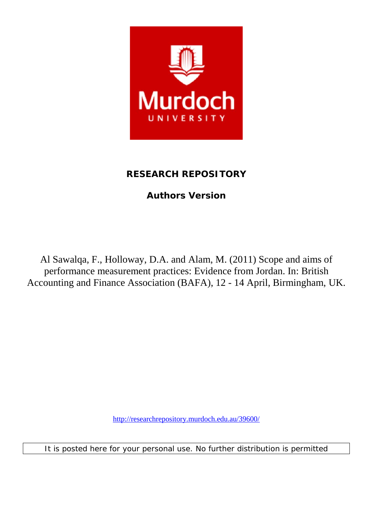

## **RESEARCH REPOSITORY**

# **Authors Version**

Al Sawalqa, F., Holloway, D.A. and Alam, M. (2011) Scope and aims of performance measurement practices: Evidence from Jordan. In: British Accounting and Finance Association (BAFA), 12 - 14 April, Birmingham, UK.

<http://researchrepository.murdoch.edu.au/39600/>

It is posted here for your personal use. No further distribution is permitted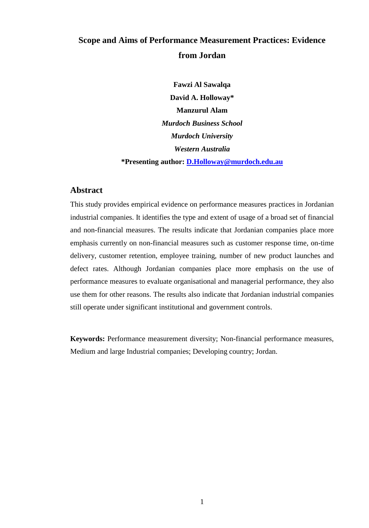## **Scope and Aims of Performance Measurement Practices: Evidence from Jordan**

**Fawzi Al Sawalqa David A. Holloway\* Manzurul Alam** *Murdoch Business School Murdoch University Western Australia*  **\*Presenting author: [D.Holloway@murdoch.edu.au](mailto:D.Holloway@murdoch.edu.au)**

## **Abstract**

This study provides empirical evidence on performance measures practices in Jordanian industrial companies. It identifies the type and extent of usage of a broad set of financial and non-financial measures. The results indicate that Jordanian companies place more emphasis currently on non-financial measures such as customer response time, on-time delivery, customer retention, employee training, number of new product launches and defect rates. Although Jordanian companies place more emphasis on the use of performance measures to evaluate organisational and managerial performance, they also use them for other reasons. The results also indicate that Jordanian industrial companies still operate under significant institutional and government controls.

**Keywords:** Performance measurement diversity; Non-financial performance measures, Medium and large Industrial companies; Developing country; Jordan.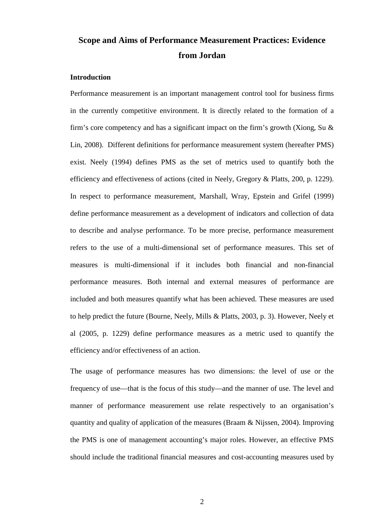## **Scope and Aims of Performance Measurement Practices: Evidence from Jordan**

### **Introduction**

Performance measurement is an important management control tool for business firms in the currently competitive environment. It is directly related to the formation of a firm's core competency and has a significant impact on the firm's growth (Xiong, Su & Lin, 2008). Different definitions for performance measurement system (hereafter PMS) exist. Neely (1994) defines PMS as the set of metrics used to quantify both the efficiency and effectiveness of actions (cited in Neely, Gregory & Platts, 200, p. 1229). In respect to performance measurement, Marshall, Wray, Epstein and Grifel (1999) define performance measurement as a development of indicators and collection of data to describe and analyse performance. To be more precise, performance measurement refers to the use of a multi-dimensional set of performance measures. This set of measures is multi-dimensional if it includes both financial and non-financial performance measures. Both internal and external measures of performance are included and both measures quantify what has been achieved. These measures are used to help predict the future (Bourne, Neely, Mills & Platts, 2003, p. 3). However, Neely et al (2005, p. 1229) define performance measures as a metric used to quantify the efficiency and/or effectiveness of an action.

The usage of performance measures has two dimensions: the level of use or the frequency of use—that is the focus of this study—and the manner of use. The level and manner of performance measurement use relate respectively to an organisation's quantity and quality of application of the measures (Braam & Nijssen, 2004). Improving the PMS is one of management accounting's major roles. However, an effective PMS should include the traditional financial measures and cost-accounting measures used by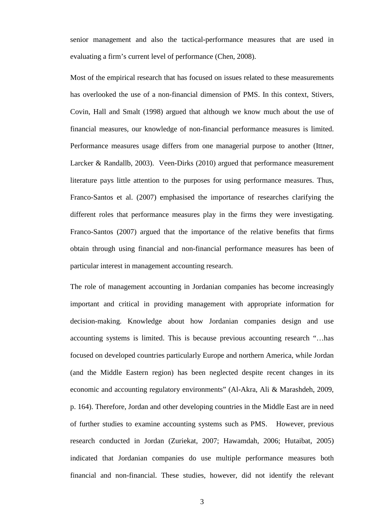senior management and also the tactical-performance measures that are used in evaluating a firm's current level of performance (Chen, 2008).

Most of the empirical research that has focused on issues related to these measurements has overlooked the use of a non-financial dimension of PMS. In this context, Stivers, Covin, Hall and Smalt (1998) argued that although we know much about the use of financial measures, our knowledge of non-financial performance measures is limited. Performance measures usage differs from one managerial purpose to another (Ittner, Larcker & Randallb, 2003). Veen-Dirks (2010) argued that performance measurement literature pays little attention to the purposes for using performance measures. Thus, Franco-Santos et al. (2007) emphasised the importance of researches clarifying the different roles that performance measures play in the firms they were investigating. Franco-Santos (2007) argued that the importance of the relative benefits that firms obtain through using financial and non-financial performance measures has been of particular interest in management accounting research.

The role of management accounting in Jordanian companies has become increasingly important and critical in providing management with appropriate information for decision-making. Knowledge about how Jordanian companies design and use accounting systems is limited. This is because previous accounting research "…has focused on developed countries particularly Europe and northern America, while Jordan (and the Middle Eastern region) has been neglected despite recent changes in its economic and accounting regulatory environments" (Al-Akra, Ali & Marashdeh, 2009, p. 164). Therefore, Jordan and other developing countries in the Middle East are in need of further studies to examine accounting systems such as PMS. However, previous research conducted in Jordan (Zuriekat, 2007; Hawamdah, 2006; Hutaibat, 2005) indicated that Jordanian companies do use multiple performance measures both financial and non-financial. These studies, however, did not identify the relevant

3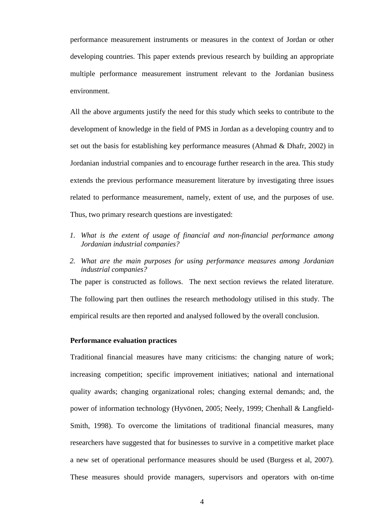performance measurement instruments or measures in the context of Jordan or other developing countries. This paper extends previous research by building an appropriate multiple performance measurement instrument relevant to the Jordanian business environment.

All the above arguments justify the need for this study which seeks to contribute to the development of knowledge in the field of PMS in Jordan as a developing country and to set out the basis for establishing key performance measures (Ahmad  $& D$ hafr, 2002) in Jordanian industrial companies and to encourage further research in the area. This study extends the previous performance measurement literature by investigating three issues related to performance measurement, namely, extent of use, and the purposes of use. Thus, two primary research questions are investigated:

- *1. What is the extent of usage of financial and non-financial performance among Jordanian industrial companies?*
- *2. What are the main purposes for using performance measures among Jordanian industrial companies?*

The paper is constructed as follows. The next section reviews the related literature. The following part then outlines the research methodology utilised in this study. The empirical results are then reported and analysed followed by the overall conclusion.

#### **Performance evaluation practices**

Traditional financial measures have many criticisms: the changing nature of work; increasing competition; specific improvement initiatives; national and international quality awards; changing organizational roles; changing external demands; and, the power of information technology (Hyvönen, 2005; Neely, 1999; Chenhall & Langfield-Smith, 1998). To overcome the limitations of traditional financial measures, many researchers have suggested that for businesses to survive in a competitive market place a new set of operational performance measures should be used (Burgess et al, 2007). These measures should provide managers, supervisors and operators with on-time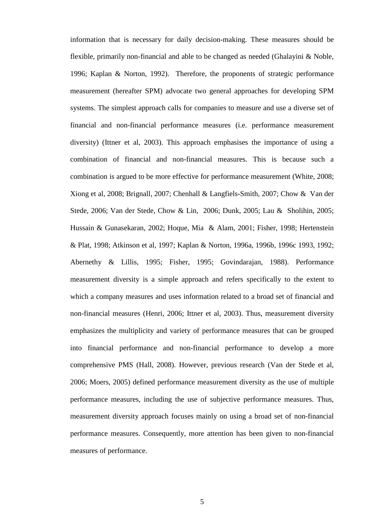information that is necessary for daily decision-making. These measures should be flexible, primarily non-financial and able to be changed as needed (Ghalayini & Noble, 1996; Kaplan & Norton, 1992). Therefore, the proponents of strategic performance measurement (hereafter SPM) advocate two general approaches for developing SPM systems. The simplest approach calls for companies to measure and use a diverse set of financial and non-financial performance measures (i.e. performance measurement diversity) (Ittner et al, 2003). This approach emphasises the importance of using a combination of financial and non-financial measures. This is because such a combination is argued to be more effective for performance measurement (White, 2008; Xiong et al, 2008; Brignall, 2007; Chenhall & Langfiels-Smith, 2007; Chow & Van der Stede, 2006; Van der Stede, Chow & Lin, 2006; Dunk, 2005; Lau & Sholihin, 2005; Hussain & Gunasekaran, 2002; Hoque, Mia & Alam, 2001; Fisher, 1998; Hertenstein & Plat, 1998; Atkinson et al, 1997; Kaplan & Norton, 1996a, 1996b, 1996c 1993, 1992; Abernethy & Lillis, 1995; Fisher, 1995; Govindarajan, 1988). Performance measurement diversity is a simple approach and refers specifically to the extent to which a company measures and uses information related to a broad set of financial and non-financial measures (Henri, 2006; Ittner et al, 2003). Thus, measurement diversity emphasizes the multiplicity and variety of performance measures that can be grouped into financial performance and non-financial performance to develop a more comprehensive PMS (Hall, 2008). However, previous research (Van der Stede et al, 2006; Moers, 2005) defined performance measurement diversity as the use of multiple performance measures, including the use of subjective performance measures. Thus, measurement diversity approach focuses mainly on using a broad set of non-financial performance measures. Consequently, more attention has been given to non-financial measures of performance.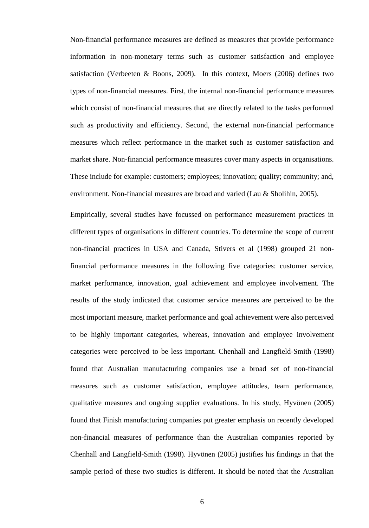Non-financial performance measures are defined as measures that provide performance information in non-monetary terms such as customer satisfaction and employee satisfaction (Verbeeten & Boons, 2009). In this context, Moers (2006) defines two types of non-financial measures. First, the internal non-financial performance measures which consist of non-financial measures that are directly related to the tasks performed such as productivity and efficiency. Second, the external non-financial performance measures which reflect performance in the market such as customer satisfaction and market share. Non-financial performance measures cover many aspects in organisations. These include for example: customers; employees; innovation; quality; community; and, environment. Non-financial measures are broad and varied (Lau & Sholihin, 2005).

Empirically, several studies have focussed on performance measurement practices in different types of organisations in different countries. To determine the scope of current non-financial practices in USA and Canada, Stivers et al (1998) grouped 21 nonfinancial performance measures in the following five categories: customer service, market performance, innovation, goal achievement and employee involvement. The results of the study indicated that customer service measures are perceived to be the most important measure, market performance and goal achievement were also perceived to be highly important categories, whereas, innovation and employee involvement categories were perceived to be less important. Chenhall and Langfield-Smith (1998) found that Australian manufacturing companies use a broad set of non-financial measures such as customer satisfaction, employee attitudes, team performance, qualitative measures and ongoing supplier evaluations. In his study, Hyvönen (2005) found that Finish manufacturing companies put greater emphasis on recently developed non-financial measures of performance than the Australian companies reported by Chenhall and Langfield-Smith (1998). Hyvönen (2005) justifies his findings in that the sample period of these two studies is different. It should be noted that the Australian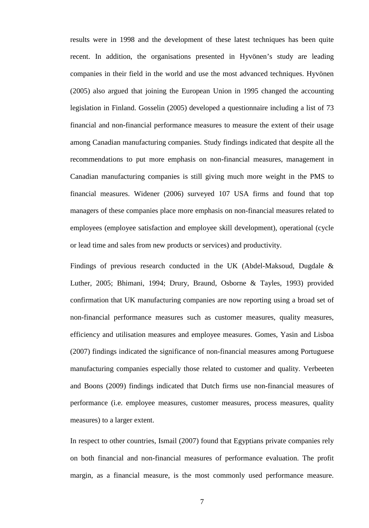results were in 1998 and the development of these latest techniques has been quite recent. In addition, the organisations presented in Hyvönen's study are leading companies in their field in the world and use the most advanced techniques. Hyvönen (2005) also argued that joining the European Union in 1995 changed the accounting legislation in Finland. Gosselin (2005) developed a questionnaire including a list of 73 financial and non-financial performance measures to measure the extent of their usage among Canadian manufacturing companies. Study findings indicated that despite all the recommendations to put more emphasis on non-financial measures, management in Canadian manufacturing companies is still giving much more weight in the PMS to financial measures. Widener (2006) surveyed 107 USA firms and found that top managers of these companies place more emphasis on non-financial measures related to employees (employee satisfaction and employee skill development), operational (cycle or lead time and sales from new products or services) and productivity.

Findings of previous research conducted in the UK (Abdel-Maksoud, Dugdale & Luther, 2005; Bhimani, 1994; Drury, Braund, Osborne & Tayles, 1993) provided confirmation that UK manufacturing companies are now reporting using a broad set of non-financial performance measures such as customer measures, quality measures, efficiency and utilisation measures and employee measures. Gomes, Yasin and Lisboa (2007) findings indicated the significance of non-financial measures among Portuguese manufacturing companies especially those related to customer and quality. Verbeeten and Boons (2009) findings indicated that Dutch firms use non-financial measures of performance (i.e. employee measures, customer measures, process measures, quality measures) to a larger extent.

In respect to other countries, Ismail (2007) found that Egyptians private companies rely on both financial and non-financial measures of performance evaluation. The profit margin, as a financial measure, is the most commonly used performance measure.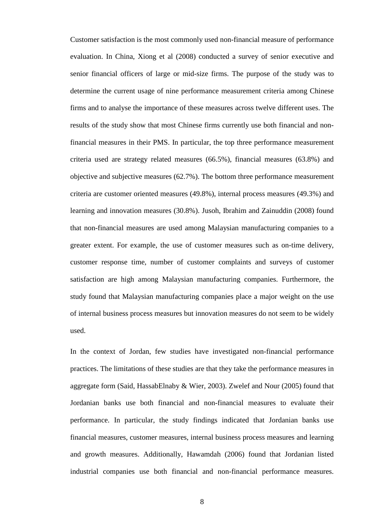Customer satisfaction is the most commonly used non-financial measure of performance evaluation. In China, Xiong et al (2008) conducted a survey of senior executive and senior financial officers of large or mid-size firms. The purpose of the study was to determine the current usage of nine performance measurement criteria among Chinese firms and to analyse the importance of these measures across twelve different uses. The results of the study show that most Chinese firms currently use both financial and nonfinancial measures in their PMS. In particular, the top three performance measurement criteria used are strategy related measures (66.5%), financial measures (63.8%) and objective and subjective measures (62.7%). The bottom three performance measurement criteria are customer oriented measures (49.8%), internal process measures (49.3%) and learning and innovation measures (30.8%). Jusoh, Ibrahim and Zainuddin (2008) found that non-financial measures are used among Malaysian manufacturing companies to a greater extent. For example, the use of customer measures such as on-time delivery, customer response time, number of customer complaints and surveys of customer satisfaction are high among Malaysian manufacturing companies. Furthermore, the study found that Malaysian manufacturing companies place a major weight on the use of internal business process measures but innovation measures do not seem to be widely used.

In the context of Jordan, few studies have investigated non-financial performance practices. The limitations of these studies are that they take the performance measures in aggregate form (Said, HassabElnaby & Wier, 2003). Zwelef and Nour (2005) found that Jordanian banks use both financial and non-financial measures to evaluate their performance. In particular, the study findings indicated that Jordanian banks use financial measures, customer measures, internal business process measures and learning and growth measures. Additionally, Hawamdah (2006) found that Jordanian listed industrial companies use both financial and non-financial performance measures.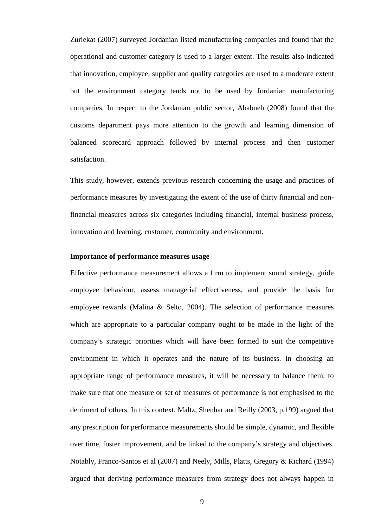Zuriekat (2007) surveyed Jordanian listed manufacturing companies and found that the operational and customer category is used to a larger extent. The results also indicated that innovation, employee, supplier and quality categories are used to a moderate extent but the environment category tends not to be used by Jordanian manufacturing companies. In respect to the Jordanian public sector, Ababneh (2008) found that the customs department pays more attention to the growth and learning dimension of balanced scorecard approach followed by internal process and then customer satisfaction.

This study, however, extends previous research concerning the usage and practices of performance measures by investigating the extent of the use of thirty financial and nonfinancial measures across six categories including financial, internal business process, innovation and learning, customer, community and environment.

### **Importance of performance measures usage**

Effective performance measurement allows a firm to implement sound strategy, guide employee behaviour, assess managerial effectiveness, and provide the basis for employee rewards (Malina & Selto, 2004). The selection of performance measures which are appropriate to a particular company ought to be made in the light of the company's strategic priorities which will have been formed to suit the competitive environment in which it operates and the nature of its business. In choosing an appropriate range of performance measures, it will be necessary to balance them, to make sure that one measure or set of measures of performance is not emphasised to the detriment of others. In this context, Maltz, Shenhar and Reilly (2003, p.199) argued that any prescription for performance measurements should be simple, dynamic, and flexible over time, foster improvement, and be linked to the company's strategy and objectives. Notably, Franco-Santos et al (2007) and Neely, Mills, Platts, Gregory & Richard (1994) argued that deriving performance measures from strategy does not always happen in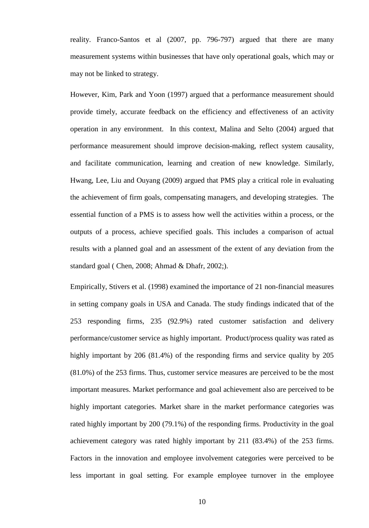reality. Franco-Santos et al (2007, pp. 796-797) argued that there are many measurement systems within businesses that have only operational goals, which may or may not be linked to strategy.

However, Kim, Park and Yoon (1997) argued that a performance measurement should provide timely, accurate feedback on the efficiency and effectiveness of an activity operation in any environment. In this context, Malina and Selto (2004) argued that performance measurement should improve decision-making, reflect system causality, and facilitate communication, learning and creation of new knowledge. Similarly, Hwang, Lee, Liu and Ouyang (2009) argued that PMS play a critical role in evaluating the achievement of firm goals, compensating managers, and developing strategies. The essential function of a PMS is to assess how well the activities within a process, or the outputs of a process, achieve specified goals. This includes a comparison of actual results with a planned goal and an assessment of the extent of any deviation from the standard goal ( Chen, 2008; Ahmad & Dhafr, 2002;).

Empirically, Stivers et al. (1998) examined the importance of 21 non-financial measures in setting company goals in USA and Canada. The study findings indicated that of the 253 responding firms, 235 (92.9%) rated customer satisfaction and delivery performance/customer service as highly important. Product/process quality was rated as highly important by 206 (81.4%) of the responding firms and service quality by 205 (81.0%) of the 253 firms. Thus, customer service measures are perceived to be the most important measures. Market performance and goal achievement also are perceived to be highly important categories. Market share in the market performance categories was rated highly important by 200 (79.1%) of the responding firms. Productivity in the goal achievement category was rated highly important by 211 (83.4%) of the 253 firms. Factors in the innovation and employee involvement categories were perceived to be less important in goal setting. For example employee turnover in the employee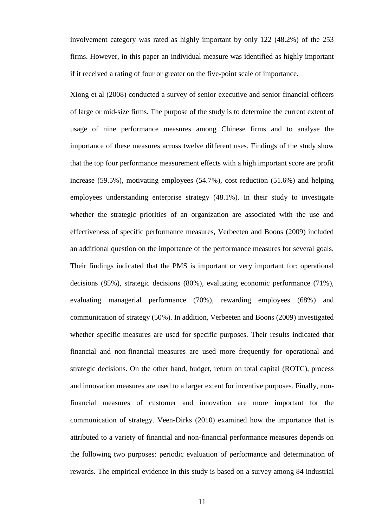involvement category was rated as highly important by only 122 (48.2%) of the 253 firms. However, in this paper an individual measure was identified as highly important if it received a rating of four or greater on the five-point scale of importance.

Xiong et al (2008) conducted a survey of senior executive and senior financial officers of large or mid-size firms. The purpose of the study is to determine the current extent of usage of nine performance measures among Chinese firms and to analyse the importance of these measures across twelve different uses. Findings of the study show that the top four performance measurement effects with a high important score are profit increase (59.5%), motivating employees (54.7%), cost reduction (51.6%) and helping employees understanding enterprise strategy (48.1%). In their study to investigate whether the strategic priorities of an organization are associated with the use and effectiveness of specific performance measures, Verbeeten and Boons (2009) included an additional question on the importance of the performance measures for several goals. Their findings indicated that the PMS is important or very important for: operational decisions (85%), strategic decisions (80%), evaluating economic performance (71%), evaluating managerial performance (70%), rewarding employees (68%) and communication of strategy (50%). In addition, Verbeeten and Boons (2009) investigated whether specific measures are used for specific purposes. Their results indicated that financial and non-financial measures are used more frequently for operational and strategic decisions. On the other hand, budget, return on total capital (ROTC), process and innovation measures are used to a larger extent for incentive purposes. Finally, nonfinancial measures of customer and innovation are more important for the communication of strategy. Veen-Dirks (2010) examined how the importance that is attributed to a variety of financial and non-financial performance measures depends on the following two purposes: periodic evaluation of performance and determination of rewards. The empirical evidence in this study is based on a survey among 84 industrial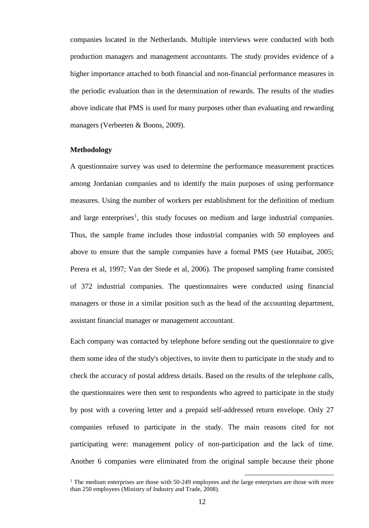companies located in the Netherlands. Multiple interviews were conducted with both production managers and management accountants. The study provides evidence of a higher importance attached to both financial and non-financial performance measures in the periodic evaluation than in the determination of rewards. The results of the studies above indicate that PMS is used for many purposes other than evaluating and rewarding managers (Verbeeten & Boons, 2009).

### **Methodology**

A questionnaire survey was used to determine the performance measurement practices among Jordanian companies and to identify the main purposes of using performance measures. Using the number of workers per establishment for the definition of medium and large enterprises<sup>[1](#page-12-0)</sup>, this study focuses on medium and large industrial companies. Thus, the sample frame includes those industrial companies with 50 employees and above to ensure that the sample companies have a formal PMS (see Hutaibat, 2005; Perera et al, 1997; Van der Stede et al, 2006). The proposed sampling frame consisted of 372 industrial companies. The questionnaires were conducted using financial managers or those in a similar position such as the head of the accounting department, assistant financial manager or management accountant.

Each company was contacted by telephone before sending out the questionnaire to give them some idea of the study's objectives, to invite them to participate in the study and to check the accuracy of postal address details. Based on the results of the telephone calls, the questionnaires were then sent to respondents who agreed to participate in the study by post with a covering letter and a prepaid self-addressed return envelope. Only 27 companies refused to participate in the study. The main reasons cited for not participating were: management policy of non-participation and the lack of time. Another 6 companies were eliminated from the original sample because their phone

<span id="page-12-0"></span><sup>&</sup>lt;sup>1</sup> The medium enterprises are those with 50-249 employees and the large enterprises are those with more than 250 employees (Ministry of Industry and Trade, 2008).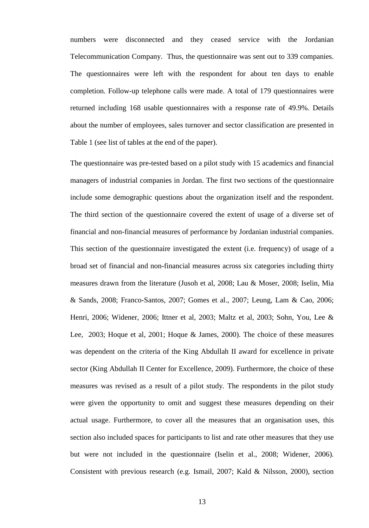numbers were disconnected and they ceased service with the Jordanian Telecommunication Company. Thus, the questionnaire was sent out to 339 companies. The questionnaires were left with the respondent for about ten days to enable completion. Follow-up telephone calls were made. A total of 179 questionnaires were returned including 168 usable questionnaires with a response rate of 49.9%. Details about the number of employees, sales turnover and sector classification are presented in Table 1 (see list of tables at the end of the paper).

The questionnaire was pre-tested based on a pilot study with 15 academics and financial managers of industrial companies in Jordan. The first two sections of the questionnaire include some demographic questions about the organization itself and the respondent. The third section of the questionnaire covered the extent of usage of a diverse set of financial and non-financial measures of performance by Jordanian industrial companies. This section of the questionnaire investigated the extent (i.e. frequency) of usage of a broad set of financial and non-financial measures across six categories including thirty measures drawn from the literature (Jusoh et al, 2008; Lau & Moser, 2008; Iselin, Mia & Sands, 2008; Franco-Santos, 2007; Gomes et al., 2007; Leung, Lam & Cao, 2006; Henri, 2006; Widener, 2006; Ittner et al, 2003; Maltz et al, 2003; Sohn, You, Lee & Lee, 2003; Hoque et al, 2001; Hoque & James, 2000). The choice of these measures was dependent on the criteria of the King Abdullah II award for excellence in private sector (King Abdullah II Center for Excellence, 2009). Furthermore, the choice of these measures was revised as a result of a pilot study. The respondents in the pilot study were given the opportunity to omit and suggest these measures depending on their actual usage. Furthermore, to cover all the measures that an organisation uses, this section also included spaces for participants to list and rate other measures that they use but were not included in the questionnaire (Iselin et al., 2008; Widener, 2006). Consistent with previous research (e.g. Ismail, 2007; Kald & Nilsson, 2000), section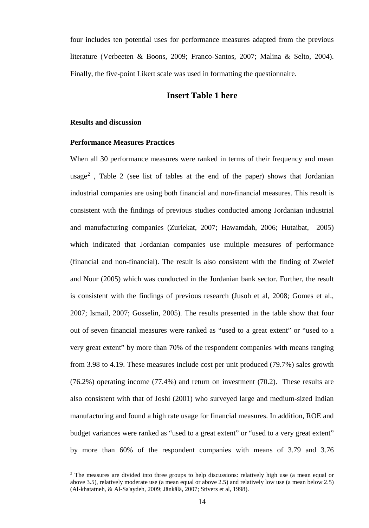four includes ten potential uses for performance measures adapted from the previous literature (Verbeeten & Boons, 2009; Franco-Santos, 2007; Malina & Selto, 2004). Finally, the five-point Likert scale was used in formatting the questionnaire.

## **Insert Table 1 here**

#### **Results and discussion**

### **Performance Measures Practices**

When all 30 performance measures were ranked in terms of their frequency and mean usage<sup>[2](#page-14-0)</sup>, Table 2 (see list of tables at the end of the paper) shows that Jordanian industrial companies are using both financial and non-financial measures. This result is consistent with the findings of previous studies conducted among Jordanian industrial and manufacturing companies (Zuriekat, 2007; Hawamdah, 2006; Hutaibat, 2005) which indicated that Jordanian companies use multiple measures of performance (financial and non-financial). The result is also consistent with the finding of Zwelef and Nour (2005) which was conducted in the Jordanian bank sector. Further, the result is consistent with the findings of previous research (Jusoh et al, 2008; Gomes et al., 2007; Ismail, 2007; Gosselin, 2005). The results presented in the table show that four out of seven financial measures were ranked as "used to a great extent" or "used to a very great extent" by more than 70% of the respondent companies with means ranging from 3.98 to 4.19. These measures include cost per unit produced (79.7%) sales growth (76.2%) operating income (77.4%) and return on investment (70.2). These results are also consistent with that of Joshi (2001) who surveyed large and medium-sized Indian manufacturing and found a high rate usage for financial measures. In addition, ROE and budget variances were ranked as "used to a great extent" or "used to a very great extent" by more than 60% of the respondent companies with means of 3.79 and 3.76

<span id="page-14-0"></span><sup>&</sup>lt;sup>2</sup> The measures are divided into three groups to help discussions: relatively high use (a mean equal or above 3.5), relatively moderate use (a mean equal or above 2.5) and relatively low use (a mean below 2.5) (Al-khatatneh, & Al-Sa'aydeh, 2009; Jänkälä, 2007; Stivers et al, 1998).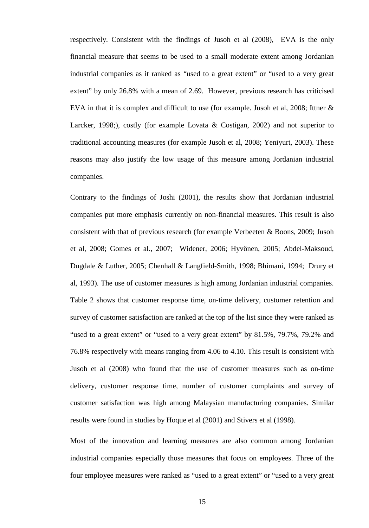respectively. Consistent with the findings of Jusoh et al (2008), EVA is the only financial measure that seems to be used to a small moderate extent among Jordanian industrial companies as it ranked as "used to a great extent" or "used to a very great extent" by only 26.8% with a mean of 2.69. However, previous research has criticised EVA in that it is complex and difficult to use (for example. Jusoh et al, 2008; Ittner & Larcker, 1998;), costly (for example Lovata & Costigan, 2002) and not superior to traditional accounting measures (for example Jusoh et al, 2008; Yeniyurt, 2003). These reasons may also justify the low usage of this measure among Jordanian industrial companies.

Contrary to the findings of Joshi (2001), the results show that Jordanian industrial companies put more emphasis currently on non-financial measures. This result is also consistent with that of previous research (for example Verbeeten & Boons, 2009; Jusoh et al, 2008; Gomes et al., 2007; Widener, 2006; Hyvönen, 2005; Abdel-Maksoud, Dugdale & Luther, 2005; Chenhall & Langfield-Smith, 1998; Bhimani, 1994; Drury et al, 1993). The use of customer measures is high among Jordanian industrial companies. Table 2 shows that customer response time, on-time delivery, customer retention and survey of customer satisfaction are ranked at the top of the list since they were ranked as "used to a great extent" or "used to a very great extent" by 81.5%, 79.7%, 79.2% and 76.8% respectively with means ranging from 4.06 to 4.10. This result is consistent with Jusoh et al (2008) who found that the use of customer measures such as on-time delivery, customer response time, number of customer complaints and survey of customer satisfaction was high among Malaysian manufacturing companies. Similar results were found in studies by Hoque et al (2001) and Stivers et al (1998).

Most of the innovation and learning measures are also common among Jordanian industrial companies especially those measures that focus on employees. Three of the four employee measures were ranked as "used to a great extent" or "used to a very great

15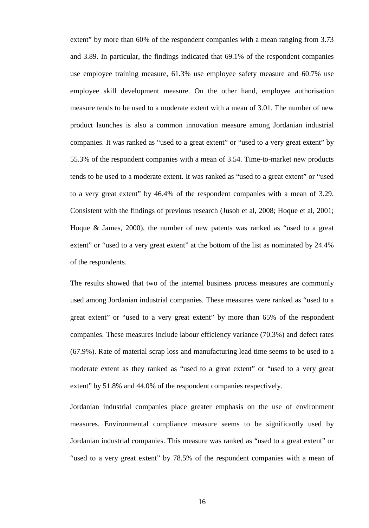extent" by more than 60% of the respondent companies with a mean ranging from 3.73 and 3.89. In particular, the findings indicated that 69.1% of the respondent companies use employee training measure, 61.3% use employee safety measure and 60.7% use employee skill development measure. On the other hand, employee authorisation measure tends to be used to a moderate extent with a mean of 3.01. The number of new product launches is also a common innovation measure among Jordanian industrial companies. It was ranked as "used to a great extent" or "used to a very great extent" by 55.3% of the respondent companies with a mean of 3.54. Time-to-market new products tends to be used to a moderate extent. It was ranked as "used to a great extent" or "used to a very great extent" by 46.4% of the respondent companies with a mean of 3.29. Consistent with the findings of previous research (Jusoh et al, 2008; Hoque et al, 2001; Hoque & James, 2000), the number of new patents was ranked as "used to a great extent" or "used to a very great extent" at the bottom of the list as nominated by 24.4% of the respondents.

The results showed that two of the internal business process measures are commonly used among Jordanian industrial companies. These measures were ranked as "used to a great extent" or "used to a very great extent" by more than 65% of the respondent companies. These measures include labour efficiency variance (70.3%) and defect rates (67.9%). Rate of material scrap loss and manufacturing lead time seems to be used to a moderate extent as they ranked as "used to a great extent" or "used to a very great extent" by 51.8% and 44.0% of the respondent companies respectively.

Jordanian industrial companies place greater emphasis on the use of environment measures. Environmental compliance measure seems to be significantly used by Jordanian industrial companies. This measure was ranked as "used to a great extent" or "used to a very great extent" by 78.5% of the respondent companies with a mean of

16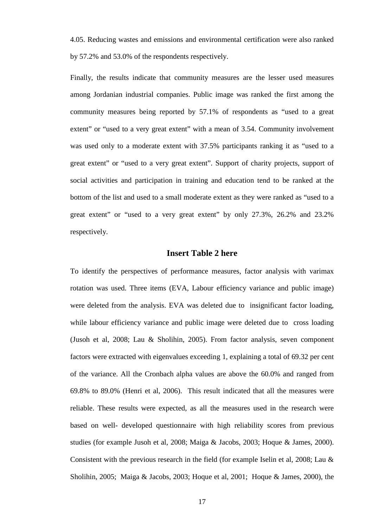4.05. Reducing wastes and emissions and environmental certification were also ranked by 57.2% and 53.0% of the respondents respectively.

Finally, the results indicate that community measures are the lesser used measures among Jordanian industrial companies. Public image was ranked the first among the community measures being reported by 57.1% of respondents as "used to a great extent" or "used to a very great extent" with a mean of 3.54. Community involvement was used only to a moderate extent with 37.5% participants ranking it as "used to a great extent" or "used to a very great extent". Support of charity projects, support of social activities and participation in training and education tend to be ranked at the bottom of the list and used to a small moderate extent as they were ranked as "used to a great extent" or "used to a very great extent" by only 27.3%, 26.2% and 23.2% respectively.

### **Insert Table 2 here**

To identify the perspectives of performance measures, factor analysis with varimax rotation was used. Three items (EVA, Labour efficiency variance and public image) were deleted from the analysis. EVA was deleted due to insignificant factor loading, while labour efficiency variance and public image were deleted due to cross loading (Jusoh et al, 2008; Lau & Sholihin, 2005). From factor analysis, seven component factors were extracted with eigenvalues exceeding 1, explaining a total of 69.32 per cent of the variance. All the Cronbach alpha values are above the 60.0% and ranged from 69.8% to 89.0% (Henri et al, 2006). This result indicated that all the measures were reliable. These results were expected, as all the measures used in the research were based on well- developed questionnaire with high reliability scores from previous studies (for example Jusoh et al, 2008; Maiga & Jacobs, 2003; Hoque & James, 2000). Consistent with the previous research in the field (for example Iselin et al, 2008; Lau & Sholihin, 2005; Maiga & Jacobs, 2003; Hoque et al, 2001; Hoque & James, 2000), the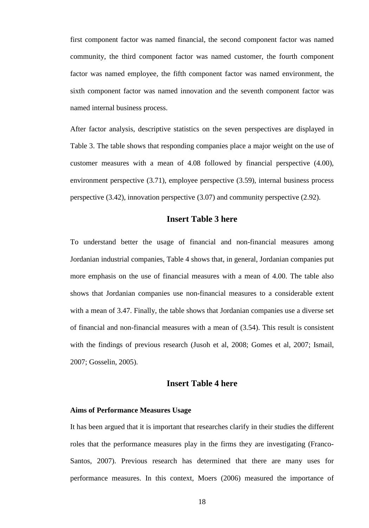first component factor was named financial, the second component factor was named community, the third component factor was named customer, the fourth component factor was named employee, the fifth component factor was named environment, the sixth component factor was named innovation and the seventh component factor was named internal business process.

After factor analysis, descriptive statistics on the seven perspectives are displayed in Table 3. The table shows that responding companies place a major weight on the use of customer measures with a mean of 4.08 followed by financial perspective (4.00), environment perspective (3.71), employee perspective (3.59), internal business process perspective (3.42), innovation perspective (3.07) and community perspective (2.92).

## **Insert Table 3 here**

To understand better the usage of financial and non-financial measures among Jordanian industrial companies, Table 4 shows that, in general, Jordanian companies put more emphasis on the use of financial measures with a mean of 4.00. The table also shows that Jordanian companies use non-financial measures to a considerable extent with a mean of 3.47. Finally, the table shows that Jordanian companies use a diverse set of financial and non-financial measures with a mean of (3.54). This result is consistent with the findings of previous research (Jusoh et al, 2008; Gomes et al, 2007; Ismail, 2007; Gosselin, 2005).

### **Insert Table 4 here**

#### **Aims of Performance Measures Usage**

It has been argued that it is important that researches clarify in their studies the different roles that the performance measures play in the firms they are investigating (Franco-Santos, 2007). Previous research has determined that there are many uses for performance measures. In this context, Moers (2006) measured the importance of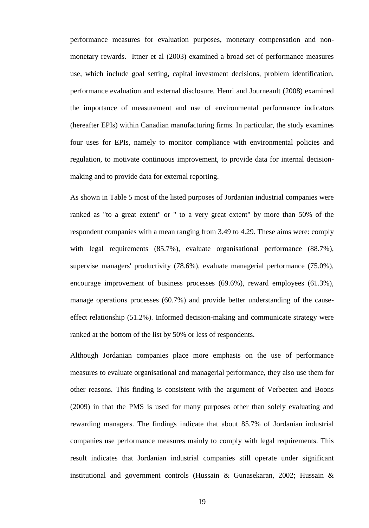performance measures for evaluation purposes, monetary compensation and nonmonetary rewards. Ittner et al (2003) examined a broad set of performance measures use, which include goal setting, capital investment decisions, problem identification, performance evaluation and external disclosure. Henri and Journeault (2008) examined the importance of measurement and use of environmental performance indicators (hereafter EPIs) within Canadian manufacturing firms. In particular, the study examines four uses for EPIs, namely to monitor compliance with environmental policies and regulation, to motivate continuous improvement, to provide data for internal decisionmaking and to provide data for external reporting.

As shown in Table 5 most of the listed purposes of Jordanian industrial companies were ranked as "to a great extent" or " to a very great extent" by more than 50% of the respondent companies with a mean ranging from 3.49 to 4.29. These aims were: comply with legal requirements (85.7%), evaluate organisational performance (88.7%), supervise managers' productivity (78.6%), evaluate managerial performance (75.0%), encourage improvement of business processes (69.6%), reward employees (61.3%), manage operations processes (60.7%) and provide better understanding of the causeeffect relationship (51.2%). Informed decision-making and communicate strategy were ranked at the bottom of the list by 50% or less of respondents.

Although Jordanian companies place more emphasis on the use of performance measures to evaluate organisational and managerial performance, they also use them for other reasons. This finding is consistent with the argument of Verbeeten and Boons (2009) in that the PMS is used for many purposes other than solely evaluating and rewarding managers. The findings indicate that about 85.7% of Jordanian industrial companies use performance measures mainly to comply with legal requirements. This result indicates that Jordanian industrial companies still operate under significant institutional and government controls (Hussain & Gunasekaran, 2002; Hussain &

19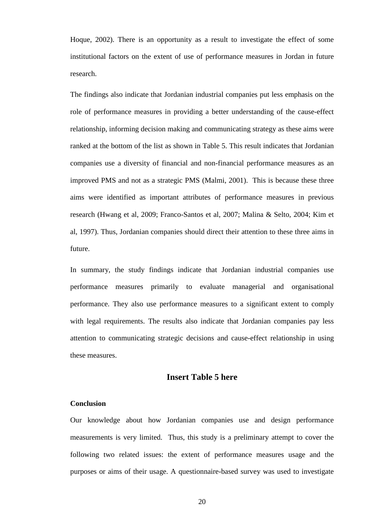Hoque, 2002). There is an opportunity as a result to investigate the effect of some institutional factors on the extent of use of performance measures in Jordan in future research.

The findings also indicate that Jordanian industrial companies put less emphasis on the role of performance measures in providing a better understanding of the cause-effect relationship, informing decision making and communicating strategy as these aims were ranked at the bottom of the list as shown in Table 5. This result indicates that Jordanian companies use a diversity of financial and non-financial performance measures as an improved PMS and not as a strategic PMS (Malmi, 2001). This is because these three aims were identified as important attributes of performance measures in previous research (Hwang et al, 2009; Franco-Santos et al, 2007; Malina & Selto, 2004; Kim et al, 1997). Thus, Jordanian companies should direct their attention to these three aims in future.

In summary, the study findings indicate that Jordanian industrial companies use performance measures primarily to evaluate managerial and organisational performance. They also use performance measures to a significant extent to comply with legal requirements. The results also indicate that Jordanian companies pay less attention to communicating strategic decisions and cause-effect relationship in using these measures.

### **Insert Table 5 here**

### **Conclusion**

Our knowledge about how Jordanian companies use and design performance measurements is very limited. Thus, this study is a preliminary attempt to cover the following two related issues: the extent of performance measures usage and the purposes or aims of their usage. A questionnaire-based survey was used to investigate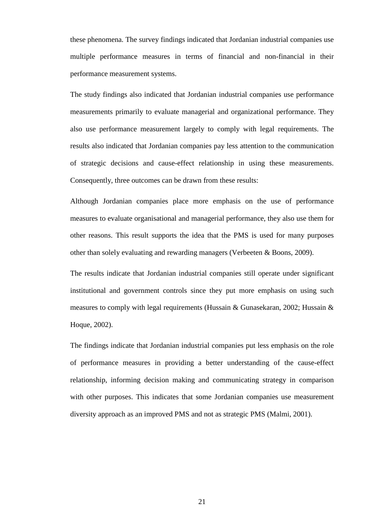these phenomena. The survey findings indicated that Jordanian industrial companies use multiple performance measures in terms of financial and non-financial in their performance measurement systems.

The study findings also indicated that Jordanian industrial companies use performance measurements primarily to evaluate managerial and organizational performance. They also use performance measurement largely to comply with legal requirements. The results also indicated that Jordanian companies pay less attention to the communication of strategic decisions and cause-effect relationship in using these measurements. Consequently, three outcomes can be drawn from these results:

Although Jordanian companies place more emphasis on the use of performance measures to evaluate organisational and managerial performance, they also use them for other reasons. This result supports the idea that the PMS is used for many purposes other than solely evaluating and rewarding managers (Verbeeten & Boons, 2009).

The results indicate that Jordanian industrial companies still operate under significant institutional and government controls since they put more emphasis on using such measures to comply with legal requirements (Hussain & Gunasekaran, 2002; Hussain  $\&$ Hoque, 2002).

The findings indicate that Jordanian industrial companies put less emphasis on the role of performance measures in providing a better understanding of the cause-effect relationship, informing decision making and communicating strategy in comparison with other purposes. This indicates that some Jordanian companies use measurement diversity approach as an improved PMS and not as strategic PMS (Malmi, 2001).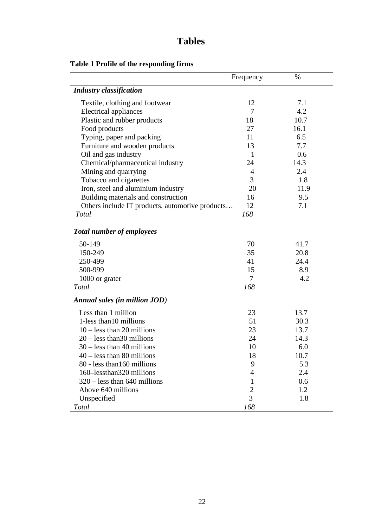# **Tables**

|                                                 | Frequency      | %    |
|-------------------------------------------------|----------------|------|
| <b>Industry classification</b>                  |                |      |
| Textile, clothing and footwear                  | 12             | 7.1  |
| Electrical appliances                           | 7              | 4.2  |
| Plastic and rubber products                     | 18             | 10.7 |
| Food products                                   | 27             | 16.1 |
| Typing, paper and packing                       | 11             | 6.5  |
| Furniture and wooden products                   | 13             | 7.7  |
| Oil and gas industry                            | 1              | 0.6  |
| Chemical/pharmaceutical industry                | 24             | 14.3 |
| Mining and quarrying                            | $\overline{4}$ | 2.4  |
| Tobacco and cigarettes                          | 3              | 1.8  |
| Iron, steel and aluminium industry              | 20             | 11.9 |
| Building materials and construction             | 16             | 9.5  |
| Others include IT products, automotive products | 12             | 7.1  |
| Total                                           | 168            |      |
| <b>Total number of employees</b>                |                |      |
| 50-149                                          | 70             | 41.7 |
| 150-249                                         | 35             | 20.8 |
| 250-499                                         | 41             | 24.4 |
| 500-999                                         | 15             | 8.9  |
| 1000 or grater                                  | 7              | 4.2  |
| Total                                           | 168            |      |
| Annual sales (in million JOD)                   |                |      |
| Less than 1 million                             | 23             | 13.7 |
| 1-less than 10 millions                         | 51             | 30.3 |
| $10 -$ less than 20 millions                    | 23             | 13.7 |
| $20 -$ less than 30 millions                    | 24             | 14.3 |
| $30$ – less than 40 millions                    | 10             | 6.0  |
| $40 -$ less than 80 millions                    | 18             | 10.7 |
| 80 - less than 160 millions                     | 9              | 5.3  |
| 160–lessthan320 millions                        | $\overline{4}$ | 2.4  |
| $320 -$ less than 640 millions                  | $\mathbf{1}$   | 0.6  |
| Above 640 millions                              | $\overline{2}$ | 1.2  |
| Unspecified                                     | 3              | 1.8  |
| Total                                           | 168            |      |

## **Table 1 Profile of the responding firms**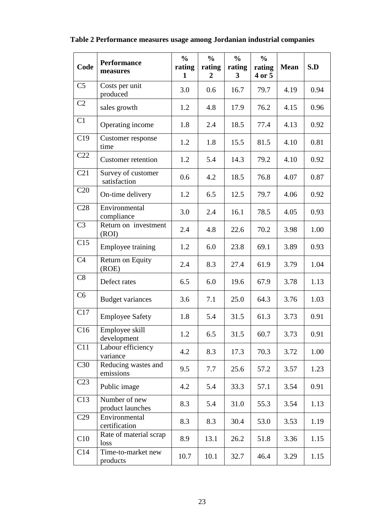| Table 2 Performance measures usage among Jordanian industrial companies |  |  |
|-------------------------------------------------------------------------|--|--|
|-------------------------------------------------------------------------|--|--|

| Code            | Performance<br>measures            | $\frac{0}{0}$<br>rating<br>1 | $\frac{0}{0}$<br>rating<br>2 | $\frac{0}{0}$<br>rating<br>3 | $\frac{0}{0}$<br>rating<br>4 or 5 | <b>Mean</b> | S.D  |
|-----------------|------------------------------------|------------------------------|------------------------------|------------------------------|-----------------------------------|-------------|------|
| C <sub>5</sub>  | Costs per unit<br>produced         | 3.0                          | 0.6                          | 16.7                         | 79.7                              | 4.19        | 0.94 |
| C2              | sales growth                       | 1.2                          | 4.8                          | 17.9                         | 76.2                              | 4.15        | 0.96 |
| C1              | Operating income                   | 1.8                          | 2.4                          | 18.5                         | 77.4                              | 4.13        | 0.92 |
| C19             | Customer response<br>time          | 1.2                          | 1.8                          | 15.5                         | 81.5                              | 4.10        | 0.81 |
| C22             | Customer retention                 | 1.2                          | 5.4                          | 14.3                         | 79.2                              | 4.10        | 0.92 |
| C21             | Survey of customer<br>satisfaction | 0.6                          | 4.2                          | 18.5                         | 76.8                              | 4.07        | 0.87 |
| C20             | On-time delivery                   | 1.2                          | 6.5                          | 12.5                         | 79.7                              | 4.06        | 0.92 |
| C28             | Environmental<br>compliance        | 3.0                          | 2.4                          | 16.1                         | 78.5                              | 4.05        | 0.93 |
| C <sub>3</sub>  | Return on investment<br>(ROI)      | 2.4                          | 4.8                          | 22.6                         | 70.2                              | 3.98        | 1.00 |
| C15             | Employee training                  | 1.2                          | 6.0                          | 23.8                         | 69.1                              | 3.89        | 0.93 |
| C <sub>4</sub>  | Return on Equity<br>(ROE)          | 2.4                          | 8.3                          | 27.4                         | 61.9                              | 3.79        | 1.04 |
| C8              | Defect rates                       | 6.5                          | 6.0                          | 19.6                         | 67.9                              | 3.78        | 1.13 |
| C <sub>6</sub>  | <b>Budget variances</b>            | 3.6                          | 7.1                          | 25.0                         | 64.3                              | 3.76        | 1.03 |
| C17             | <b>Employee Safety</b>             | 1.8                          | 5.4                          | 31.5                         | 61.3                              | 3.73        | 0.91 |
| C16             | Employee skill<br>development      | 1.2                          | 6.5                          | 31.5                         | 60.7                              | 3.73        | 0.91 |
| C11             | Labour efficiency<br>variance      | 4.2                          | 8.3                          | 17.3                         | 70.3                              | 3.72        | 1.00 |
| C30             | Reducing wastes and<br>emissions   | 9.5                          | 7.7                          | 25.6                         | 57.2                              | 3.57        | 1.23 |
| C <sub>23</sub> | Public image                       | 4.2                          | 5.4                          | 33.3                         | 57.1                              | 3.54        | 0.91 |
| C13             | Number of new<br>product launches  | 8.3                          | 5.4                          | 31.0                         | 55.3                              | 3.54        | 1.13 |
| C29             | Environmental<br>certification     | 8.3                          | 8.3                          | 30.4                         | 53.0                              | 3.53        | 1.19 |
| C10             | Rate of material scrap<br>loss     | 8.9                          | 13.1                         | 26.2                         | 51.8                              | 3.36        | 1.15 |
| C14             | Time-to-market new<br>products     | 10.7                         | 10.1                         | 32.7                         | 46.4                              | 3.29        | 1.15 |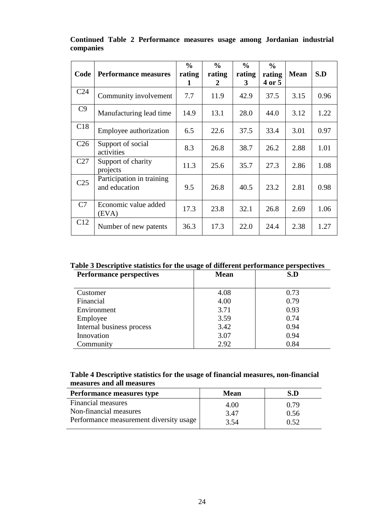| Code            | <b>Performance measures</b>                | $\frac{6}{6}$<br>rating<br>1 | $\frac{0}{0}$<br>rating<br>2 | $\frac{6}{6}$<br>rating<br>3 | $\frac{6}{6}$<br>rating<br>4 or 5 | <b>Mean</b> | S.D  |
|-----------------|--------------------------------------------|------------------------------|------------------------------|------------------------------|-----------------------------------|-------------|------|
| C <sub>24</sub> | Community involvement                      | 7.7                          | 11.9                         | 42.9                         | 37.5                              | 3.15        | 0.96 |
| C9              | Manufacturing lead time                    | 14.9                         | 13.1                         | 28.0                         | 44.0                              | 3.12        | 1.22 |
| C18             | Employee authorization                     | 6.5                          | 22.6                         | 37.5                         | 33.4                              | 3.01        | 0.97 |
| C <sub>26</sub> | Support of social<br>activities            | 8.3                          | 26.8                         | 38.7                         | 26.2                              | 2.88        | 1.01 |
| C27             | Support of charity<br>projects             | 11.3                         | 25.6                         | 35.7                         | 27.3                              | 2.86        | 1.08 |
| C <sub>25</sub> | Participation in training<br>and education | 9.5                          | 26.8                         | 40.5                         | 23.2                              | 2.81        | 0.98 |
| C7              | Economic value added<br>(EVA)              | 17.3                         | 23.8                         | 32.1                         | 26.8                              | 2.69        | 1.06 |
| C12             | Number of new patents                      | 36.3                         | 17.3                         | 22.0                         | 24.4                              | 2.38        | 1.27 |

## **Continued Table 2 Performance measures usage among Jordanian industrial companies**

## **Table 3 Descriptive statistics for the usage of different performance perspectives**

| <b>Performance perspectives</b> | <b>Mean</b> | S.D  |  |  |
|---------------------------------|-------------|------|--|--|
|                                 |             |      |  |  |
| Customer                        | 4.08        | 0.73 |  |  |
| Financial                       | 4.00        | 0.79 |  |  |
| Environment                     | 3.71        | 0.93 |  |  |
| Employee                        | 3.59        | 0.74 |  |  |
| Internal business process       | 3.42        | 0.94 |  |  |
| Innovation                      | 3.07        | 0.94 |  |  |
| Community                       | 2.92        | 0.84 |  |  |

## **Table 4 Descriptive statistics for the usage of financial measures, non-financial measures and all measures**

| <b>Performance measures type</b>        | <b>Mean</b> | S.D  |
|-----------------------------------------|-------------|------|
| Financial measures                      | 4.00        | 0.79 |
| Non-financial measures                  | 3.47        | 0.56 |
| Performance measurement diversity usage | 3.54        | 0.52 |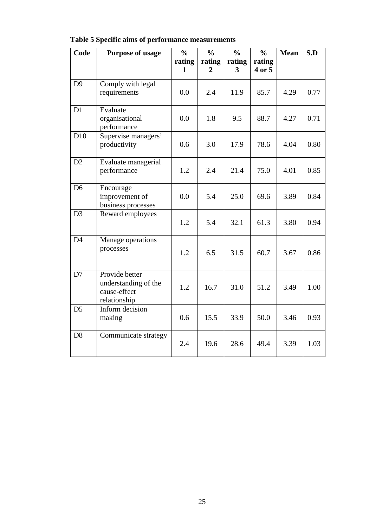| Code           | <b>Purpose of usage</b>              | $\frac{0}{0}$ | $\frac{0}{0}$            | $\frac{0}{0}$ | $\frac{0}{0}$    | <b>Mean</b> | S.D  |
|----------------|--------------------------------------|---------------|--------------------------|---------------|------------------|-------------|------|
|                |                                      | rating<br>1   | rating<br>$\overline{2}$ | rating<br>3   | rating<br>4 or 5 |             |      |
|                |                                      |               |                          |               |                  |             |      |
| D <sub>9</sub> | Comply with legal                    |               |                          |               |                  |             |      |
|                | requirements                         | 0.0           | 2.4                      | 11.9          | 85.7             | 4.29        | 0.77 |
| D1             | Evaluate                             |               |                          |               |                  |             |      |
|                | organisational<br>performance        | 0.0           | 1.8                      | 9.5           | 88.7             | 4.27        | 0.71 |
| D10            | Supervise managers'                  |               |                          |               |                  |             |      |
|                | productivity                         | 0.6           | 3.0                      | 17.9          | 78.6             | 4.04        | 0.80 |
| D2             | Evaluate managerial                  |               |                          |               |                  |             |      |
|                | performance                          | 1.2           | 2.4                      | 21.4          | 75.0             | 4.01        | 0.85 |
| D <sub>6</sub> | Encourage                            |               |                          |               |                  |             |      |
|                | improvement of<br>business processes | 0.0           | 5.4                      | 25.0          | 69.6             | 3.89        | 0.84 |
| D <sub>3</sub> | Reward employees                     |               |                          |               |                  |             |      |
|                |                                      | 1.2           | 5.4                      | 32.1          | 61.3             | 3.80        | 0.94 |
| D <sub>4</sub> | Manage operations                    |               |                          |               |                  |             |      |
|                | processes                            | 1.2           | 6.5                      | 31.5          | 60.7             | 3.67        | 0.86 |
|                |                                      |               |                          |               |                  |             |      |
| D7             | Provide better                       |               |                          |               |                  |             |      |
|                | understanding of the<br>cause-effect | 1.2           | 16.7                     | 31.0          | 51.2             | 3.49        | 1.00 |
|                | relationship                         |               |                          |               |                  |             |      |
| D <sub>5</sub> | Inform decision                      |               |                          |               |                  |             |      |
|                | making                               | 0.6           | 15.5                     | 33.9          | 50.0             | 3.46        | 0.93 |
| D <sub>8</sub> | Communicate strategy                 |               |                          |               |                  |             |      |
|                |                                      | 2.4           | 19.6                     | 28.6          | 49.4             | 3.39        | 1.03 |
|                |                                      |               |                          |               |                  |             |      |

**Table 5 Specific aims of performance measurements**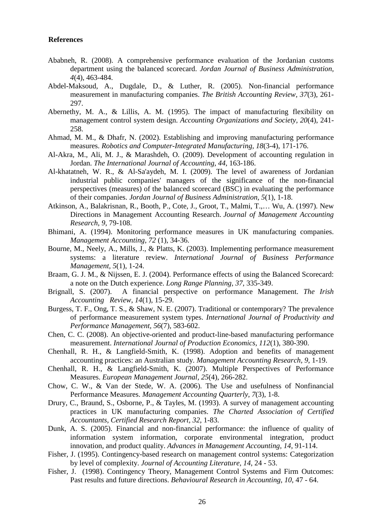#### **References**

- Ababneh, R. (2008). A comprehensive performance evaluation of the Jordanian customs department using the balanced scorecard. *Jordan Journal of Business Administration, 4*(4), 463-484.
- Abdel-Maksoud, A., Dugdale, D., & Luther, R. (2005). Non-financial performance measurement in manufacturing companies. *The British Accounting Review, 37*(3), 261- 297.
- Abernethy, M. A., & Lillis, A. M. (1995). The impact of manufacturing flexibility on management control system design. *Accounting Organizations and Society, 20*(4), 241- 258.
- Ahmad, M. M., & Dhafr, N. (2002). Establishing and improving manufacturing performance measures. *Robotics and Computer-Integrated Manufacturing, 18*(3-4), 171-176.
- Al-Akra, M., Ali, M. J., & Marashdeh, O. (2009). Development of accounting regulation in Jordan. *The International Journal of Accounting, 44*, 163-186.
- Al-khatatneh, W. R., & Al-Sa'aydeh, M. I. (2009). The level of awareness of Jordanian industrial public companies' managers of the significance of the non-financial perspectives (measures) of the balanced scorecard (BSC) in evaluating the performance of their companies. *Jordan Journal of Business Administration*, *5*(1), 1-18.
- Atkinson, A., Balakrisnan, R., Booth, P., Cote, J., Groot, T., Malmi, T.,… Wu, A. (1997). New Directions in Management Accounting Research. *Journal of Management Accounting Research, 9*, 79-108.
- Bhimani, A. (1994). Monitoring performance measures in UK manufacturing companies. *Management Accounting, 72* (1), 34-36.
- Bourne, M., Neely, A., Mills, J., & Platts, K. (2003). Implementing performance measurement systems: a literature review. *International Journal of Business Performance Management, 5*(1), 1-24.
- Braam, G. J. M., & Nijssen, E. J. (2004). Performance effects of using the Balanced Scorecard: a note on the Dutch experience. *Long Range Planning, 37*, 335-349.
- Brignall, S. (2007). A financial perspective on performance Management. *The Irish Accounting Review, 14*(1)*,* 15-29.
- Burgess, T. F., Ong, T. S., & Shaw, N. E. (2007). Traditional or contemporary? The prevalence of performance measurement system types. *International Journal of Productivity and Performance Management, 56*(7), 583-602.
- Chen, C. C. (2008). An objective-oriented and product-line-based manufacturing performance measurement. *International Journal of Production Economics, 112*(1), 380-390.
- Chenhall, R. H., & Langfield-Smith, K. (1998). Adoption and benefits of management accounting practices: an Australian study. *Management Accounting Research, 9*, 1-19.
- Chenhall, R. H., & Langfield-Smith, K. (2007). Multiple Perspectives of Performance Measures. *European Management Journal, 25*(4), 266-282.
- Chow, C. W., & Van der Stede, W. A. (2006). The Use and usefulness of Nonfinancial Performance Measures. *Management Accounting Quarterly, 7*(3), 1-8.
- Drury, C., Braund, S., Osborne, P., & Tayles, M. (1993). A survey of management accounting practices in UK manufacturing companies. *The Charted Association of Certified Accountants, Certified Research Report, 32*, 1-83.
- Dunk, A. S. (2005). Financial and non-financial performance: the influence of quality of information system information, corporate environmental integration, product innovation, and product quality. *Advances in Management Accounting, 14*, 91-114.
- Fisher, J. (1995). Contingency-based research on management control systems: Categorization by level of complexity. *Journal of Accounting Literature, 14*, 24 - 53.
- Fisher, J. (1998). Contingency Theory, Management Control Systems and Firm Outcomes: Past results and future directions. *Behavioural Research in Accounting, 10*, 47 - 64.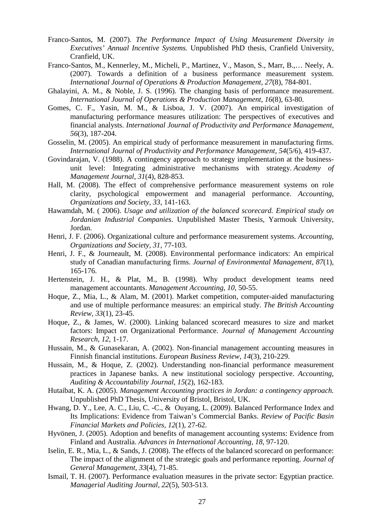- Franco-Santos, M. (2007). *The Performance Impact of Using Measurement Diversity in Executives' Annual Incentive Systems.* Unpublished PhD thesis, Cranfield University, Cranfield, UK.
- Franco-Santos, M., Kennerley, M., Micheli, P., Martinez, V., Mason, S., Marr, B.,… Neely, A. (2007). Towards a definition of a business performance measurement system. *International Journal of Operations & Production Management, 27*(8), 784-801.
- Ghalayini, A. M., & Noble, J. S. (1996). The changing basis of performance measurement. *International Journal of Operations & Production Management, 16*(8), 63-80.
- Gomes, C. F., Yasin, M. M., & Lisboa, J. V. (2007). An empirical investigation of manufacturing performance measures utilization: The perspectives of executives and financial analysts. *International Journal of Productivity and Performance Management, 56*(3), 187-204.
- Gosselin, M. (2005). An empirical study of performance measurement in manufacturing firms. *International Journal of Productivity and Performance Management, 54*(5/6), 419-437.
- Govindarajan, V. (1988). A contingency approach to strategy implementation at the businessunit level: Integrating administrative mechanisms with strategy. *Academy of Management Journal, 31*(4), 828-853.
- Hall, M. (2008). The effect of comprehensive performance measurement systems on role clarity, psychological empowerment and managerial performance. *Accounting, Organizations and Society, 33*, 141-163.
- Hawamdah, M. ( 2006). *Usage and utilization of the balanced scorecard. Empirical study on Jordanian Industrial Companies*. Unpublished Master Thesis, Yarmouk University, Jordan.
- Henri, J. F. (2006). Organizational culture and performance measurement systems. *Accounting, Organizations and Society, 31*, 77-103.
- Henri, J. F., & Journeault, M. (2008). Environmental performance indicators: An empirical study of Canadian manufacturing firms. *Journal of Environmental Management, 87*(1), 165-176.
- Hertenstein, J. H., & Plat, M., B. (1998). Why product development teams need management accountants. *Management Accounting*, *10*, 50-55.
- Hoque, Z., Mia, L., & Alam, M. (2001). Market competition, computer-aided manufacturing and use of multiple performance measures: an empirical study. *The British Accounting Review, 33*(1), 23-45.
- Hoque, Z., & James, W. (2000). Linking balanced scorecard measures to size and market factors: Impact on Organizational Performance. *Journal of Management Accounting Research, 12*, 1-17.
- Hussain, M., & Gunasekaran, A. (2002). Non-financial management accounting measures in Finnish financial institutions. *European Business Review, 14*(3), 210-229.
- Hussain, M., & Hoque, Z. (2002). Understanding non-financial performance measurement practices in Japanese banks. A new institutional sociology perspective. *Accounting, Auditing & Accountability Journal, 15*(2), 162-183.
- Hutaibat, K. A. (2005). *Management Accounting practices in Jordan: a contingency approach.* Unpublished PhD Thesis, University of Bristol, Bristol, UK.
- Hwang, D. Y., Lee, A. C., Liu, C. -C., & Ouyang, L. (2009). Balanced Performance Index and Its Implications: Evidence from Taiwan's Commercial Banks. *Review of Pacific Basin Financial Markets and Policies, 12*(1), 27-62.
- Hyvönen, J. (2005). Adoption and benefits of management accounting systems: Evidence from Finland and Australia. *Advances in International Accounting, 18*, 97-120.
- Iselin, E. R., Mia, L., & Sands, J. (2008). The effects of the balanced scorecard on performance: The impact of the alignment of the strategic goals and performance reporting. *Journal of General Management, 33*(4), 71-85.
- Ismail, T. H. (2007). Performance evaluation measures in the private sector: Egyptian practice. *Managerial Auditing Journal, 22*(5), 503-513.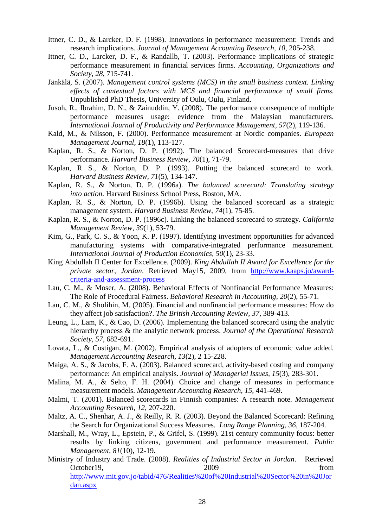- Ittner, C. D., & Larcker, D. F. (1998). Innovations in performance measurement: Trends and research implications. *Journal of Management Accounting Research, 10*, 205-238.
- Ittner, C. D., Larcker, D. F., & Randallb, T. (2003). Performance implications of strategic performance measurement in financial services firms. *Accounting, Organizations and Society, 28*, 715-741.
- Jänkälä, S. (2007). *Management control systems (MCS) in the small business context. Linking effects of contextual factors with MCS and financial performance of small firms.* Unpublished PhD Thesis, University of Oulu, Oulu, Finland.
- Jusoh, R., Ibrahim, D. N., & Zainuddin, Y. (2008). The performance consequence of multiple performance measures usage: evidence from the Malaysian manufacturers. *International Journal of Productivity and Performance Management, 57*(2), 119-136.
- Kald, M., & Nilsson, F. (2000). Performance measurement at Nordic companies. *European Management Journal, 18*(1), 113-127.
- Kaplan, R. S., & Norton, D. P. (1992). The balanced Scorecard-measures that drive performance. *Harvard Business Review*, *70*(1), 71-79.
- Kaplan, R S., & Norton, D. P. (1993). Putting the balanced scorecard to work. *Harvard Business Review, 71*(5), 134-147.
- Kaplan, R. S., & Norton, D. P. (1996a). *The balanced scorecard: Translating strategy into action*. Harvard Business School Press, Boston, MA.
- Kaplan, R. S., & Norton, D. P. (1996b). Using the balanced scorecard as a strategic management system. *Harvard Business Review*, *74*(1), 75-85.
- Kaplan, R. S., & Norton, D. P. (1996c). Linking the balanced scorecard to strategy. *California Management Review, 39*(1), 53-79.
- Kim, G., Park, C. S., & Yoon, K. P. (1997). Identifying investment opportunities for advanced manufacturing systems with comparative-integrated performance measurement. *International Journal of Production Economics, 50*(1), 23-33.
- King Abdullah II Center for Excellence. (2009). *King Abdullah II Award for Excellence for the private sector*, *Jordan*. Retrieved May15, 2009, from [http://www.kaaps.jo/award](http://www.kaaps.jo/award-criteria-and-assessment-process)[criteria-and-assessment-process](http://www.kaaps.jo/award-criteria-and-assessment-process)
- Lau, C. M., & Moser, A. (2008). Behavioral Effects of Nonfinancial Performance Measures: The Role of Procedural Fairness. *Behavioral Research in Accounting, 20*(2), 55-71.
- Lau, C. M., & Sholihin, M. (2005). Financial and nonfinancial performance measures: How do they affect job satisfaction?. *The British Accounting Review, 37*, 389-413.
- Leung, L., Lam, K., & Cao, D. (2006). Implementing the balanced scorecard using the analytic hierarchy process & the analytic network process. *Journal of the Operational Research Society, 57*, 682-691.
- Lovata, L., & Costigan, M. (2002). Empirical analysis of adopters of economic value added. *Management Accounting Research, 13*(2), 2 15-228.
- Maiga, A. S., & Jacobs, F. A. (2003). Balanced scorecard, activity-based costing and company performance: An empirical analysis. *Journal of Managerial Issues, 15*(3), 283-301.
- Malina, M. A., & Selto, F. H. (2004). Choice and change of measures in performance measurement models. *Management Accounting Research, 15*, 441-469.
- Malmi, T. (2001). Balanced scorecards in Finnish companies: A research note. *Management Accounting Research, 12*, 207-220.
- Maltz, A. C., Shenhar, A. J., & Reilly, R. R. (2003). Beyond the Balanced Scorecard: Refining the Search for Organizational Success Measures. *Long Range Planning, 36*, 187-204.
- Marshall, M., Wray, L., Epstein, P., & Grifel, S. (1999). 21st century community focus: better results by linking citizens, government and performance measurement. *Public Management, 81*(10), 12-19.
- Ministry of Industry and Trade. (2008). *Realities of Industrial Sector in Jordan*. Retrieved October19, 2009 from the control of the control of the control of the control of the control of the control of the control of the control of the control of the control of the control of the control of the control of the co [http://www.mit.gov.jo/tabid/476/Realities%20of%20Industrial%20Sector%20in%20Jor](http://www.mit.gov.jo/tabid/476/Realities%20of%20Industrial%20Sector%20in%20Jordan.aspx) [dan.aspx](http://www.mit.gov.jo/tabid/476/Realities%20of%20Industrial%20Sector%20in%20Jordan.aspx)